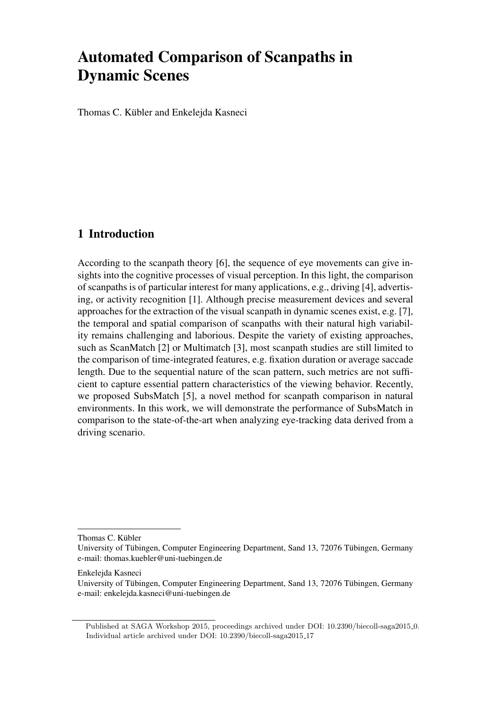# Automated Comparison of Scanpaths in [D](#page-0-0)ynamic Scenes

Thomas C. Kübler and Enkelejda Kasneci

## 1 Introduction

According to the scanpath theory [6], the sequence of eye movements can give insights into the cognitive processes of visual perception. In this light, the comparison of scanpaths is of particular interest for many applications, e.g., driving [4], advertising, or activity recognition [1]. Although precise measurement devices and several approaches for the extraction of the visual scanpath in dynamic scenes exist, e.g. [7], the temporal and spatial comparison of scanpaths with their natural high variability remains challenging and laborious. Despite the variety of existing approaches, such as ScanMatch [2] or Multimatch [3], most scanpath studies are still limited to the comparison of time-integrated features, e.g. fixation duration or average saccade length. Due to the sequential nature of the scan pattern, such metrics are not sufficient to capture essential pattern characteristics of the viewing behavior. Recently, we proposed SubsMatch [5], a novel method for scanpath comparison in natural environments. In this work, we will demonstrate the performance of SubsMatch in comparison to the state-of-the-art when analyzing eye-tracking data derived from a driving scenario.

Thomas C. Kübler

Enkelejda Kasneci

University of Tübingen, Computer Engineering Department, Sand 13, 72076 Tübingen, Germany e-mail: thomas.kuebler@uni-tuebingen.de

University of Tübingen, Computer Engineering Department, Sand 13, 72076 Tübingen, Germany e-mail: enkelejda.kasneci@uni-tuebingen.de

<span id="page-0-0"></span>Published at SAGA Workshop 2015, proceedings archived under DOI: 10.2390/biecoll-saga2015 0. Individual article archived under DOI: 10.2390/biecoll-saga2015 17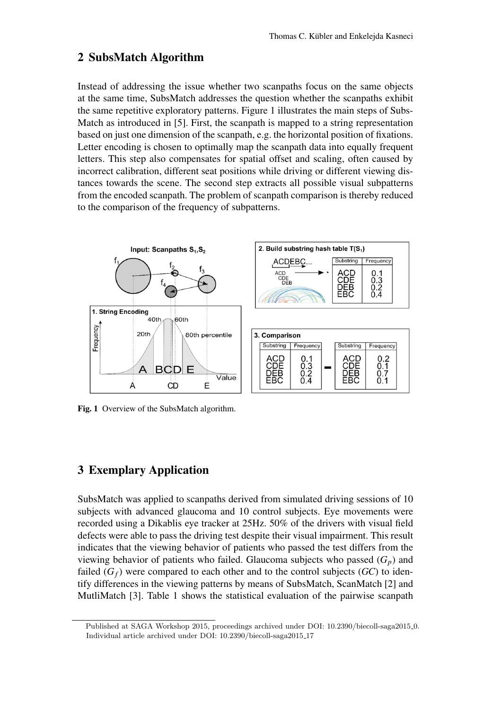## 2 SubsMatch Algorithm

Instead of addressing the issue whether two scanpaths focus on the same objects at the same time, SubsMatch addresses the question whether the scanpaths exhibit the same repetitive exploratory patterns. Figure 1 illustrates the main steps of Subs-Match as introduced in [5]. First, the scanpath is mapped to a string representation based on just one dimension of the scanpath, e.g. the horizontal position of fixations. Letter encoding is chosen to optimally map the scanpath data into equally frequent letters. This step also compensates for spatial offset and scaling, often caused by incorrect calibration, different seat positions while driving or different viewing distances towards the scene. The second step extracts all possible visual subpatterns from the encoded scanpath. The problem of scanpath comparison is thereby reduced to the comparison of the frequency of subpatterns.



Fig. 1 Overview of the SubsMatch algorithm.

## 3 Exemplary Application

SubsMatch was applied to scanpaths derived from simulated driving sessions of 10 subjects with advanced glaucoma and 10 control subjects. Eye movements were recorded using a Dikablis eye tracker at 25Hz. 50% of the drivers with visual field defects were able to pass the driving test despite their visual impairment. This result indicates that the viewing behavior of patients who passed the test differs from the viewing behavior of patients who failed. Glaucoma subjects who passed  $(G_p)$  and failed  $(G_f)$  were compared to each other and to the control subjects  $(GC)$  to identify differences in the viewing patterns by means of SubsMatch, ScanMatch [2] and MutliMatch [3]. Table 1 shows the statistical evaluation of the pairwise scanpath

Published at SAGA Workshop 2015, proceedings archived under DOI: 10.2390/biecoll-saga2015 0. Individual article archived under DOI: 10.2390/biecoll-saga2015 17